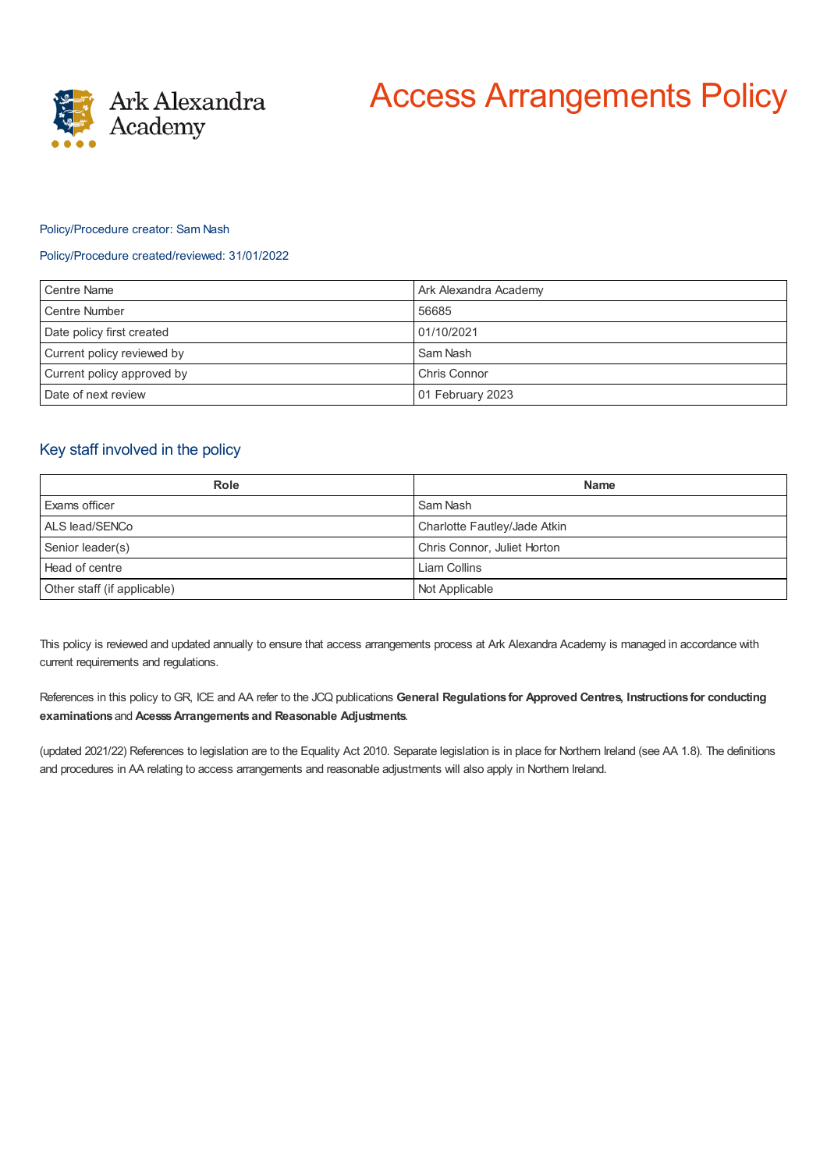

# Access Arrangements Policy

### Policy/Procedure creator: Sam Nash

## Policy/Procedure created/reviewed: 31/01/2022

| <b>Centre Name</b>         | Ark Alexandra Academy |
|----------------------------|-----------------------|
| <b>Centre Number</b>       | 56685                 |
| Date policy first created  | 01/10/2021            |
| Current policy reviewed by | Sam Nash              |
| Current policy approved by | Chris Connor          |
| Date of next review        | 01 February 2023      |

# Key staff involved in the policy

| <b>Role</b>                 | <b>Name</b>                  |
|-----------------------------|------------------------------|
| Exams officer               | Sam Nash                     |
| ALS lead/SENCo              | Charlotte Fautley/Jade Atkin |
| Senior leader(s)            | Chris Connor, Juliet Horton  |
| Head of centre              | Liam Collins                 |
| Other staff (if applicable) | Not Applicable               |

This policy is reviewed and updated annually to ensure that access arrangements process at Ark Alexandra Academy is managed in accordance with current requirements and regulations.

References in this policy to GR, ICE and AA refer to the JCQ publications **General Regulations for Approved Centres, Instructions for conducting examinations** and **AcesssArrangements and Reasonable Adjustments**.

(updated 2021/22) References to legislation are to the Equality Act 2010. Separate legislation is in place for Northern Ireland (see AA 1.8). The definitions and procedures in AA relating to access arrangements and reasonable adjustments will also apply in Northern Ireland.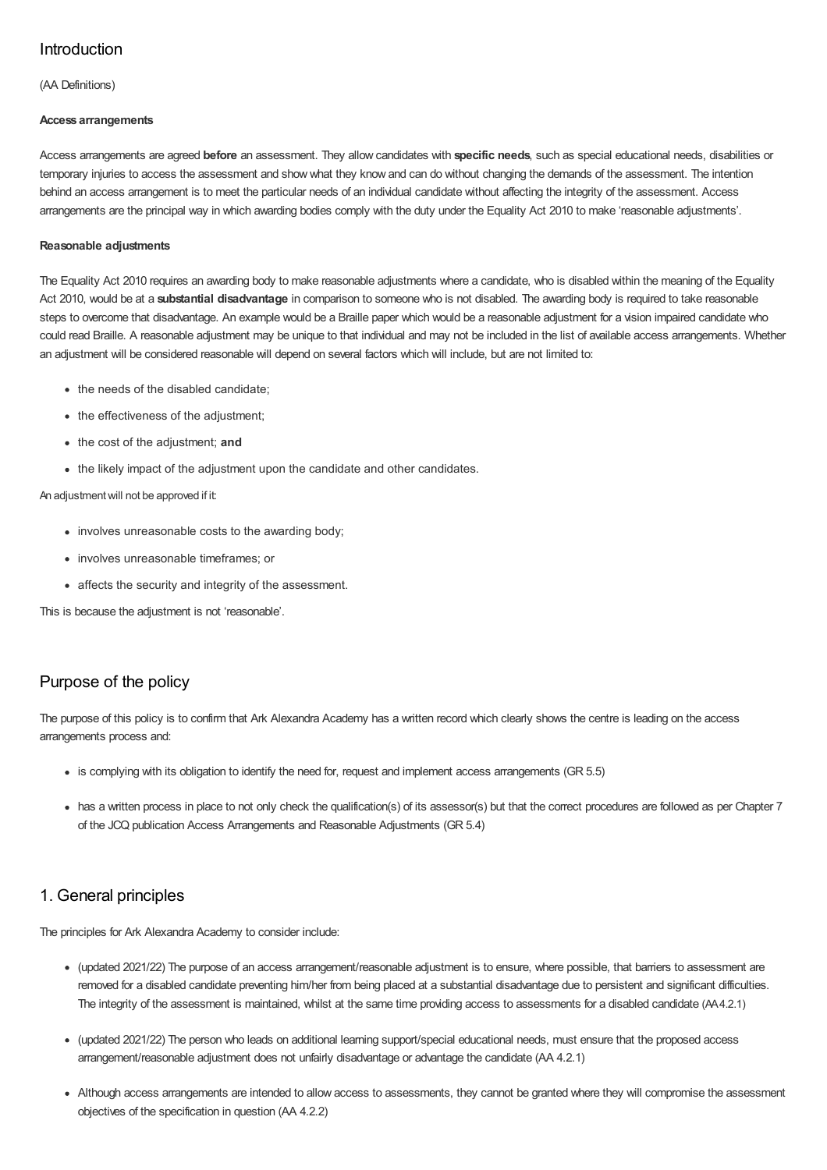# Introduction

(AA Definitions)

#### **Access arrangements**

Access arrangements are agreed **before** an assessment. They allow candidates with **specific needs**, such as special educational needs, disabilities or temporary injuries to access the assessment and show what they know and can do without changing the demands of the assessment. The intention behind an access arrangement is to meet the particular needs of an individual candidate without affecting the integrity of the assessment. Access arrangements are the principal way in which awarding bodies comply with the duty under the Equality Act 2010 to make 'reasonable adjustments'.

### **Reasonable adjustments**

The Equality Act 2010 requires an awarding body to make reasonable adjustments where a candidate, who is disabled within the meaning of the Equality Act 2010, would be at a **substantial disadvantage** in comparison to someone who is not disabled. The awarding body is required to take reasonable steps to overcome that disadvantage. An example would be a Braille paper which would be a reasonable adjustment for a vision impaired candidate who could read Braille. A reasonable adjustment may be unique to that individual and may not be included in the list of available access arrangements. Whether an adjustment will be considered reasonable will depend on several factors which will include, but are not limited to:

- the needs of the disabled candidate;
- the effectiveness of the adjustment;
- the cost of the adjustment; **and**
- the likely impact of the adjustment upon the candidate and other candidates.

### An adjustmentwill not be approved if it:

- involves unreasonable costs to the awarding body:
- involves unreasonable timeframes; or
- affects the security and integrity of the assessment.

This is because the adjustment is not 'reasonable'.

# Purpose of the policy

The purpose of this policy is to confirm that Ark Alexandra Academy has a written record which clearly shows the centre is leading on the access arrangements process and:

- is complying with its obligation to identify the need for, request and implement access arrangements (GR 5.5)
- has a written process in place to not only check the qualification(s) of its assessor(s) but that the correct procedures are followed as per Chapter 7 of the JCQ publication Access Arrangements and Reasonable Adjustments (GR 5.4)

# 1. General principles

The principles for Ark Alexandra Academy to consider include:

- (updated 2021/22) The purpose of an access arrangement/reasonable adjustment is to ensure, where possible, that barriers to assessment are removed for a disabled candidate preventing him/her from being placed at a substantial disadvantage due to persistent and significant difficulties. The integrity of the assessment is maintained, whilst at the same time providing access to assessments for a disabled candidate (AA4.2.1)
- (updated 2021/22) The person who leads on additional learning support/special educational needs, must ensure that the proposed access arrangement/reasonable adjustment does not unfairly disadvantage or advantage the candidate (AA 4.2.1)
- Although access arrangements are intended to allow access to assessments, they cannot be granted where they will compromise the assessment objectives of the specification in question (AA 4.2.2)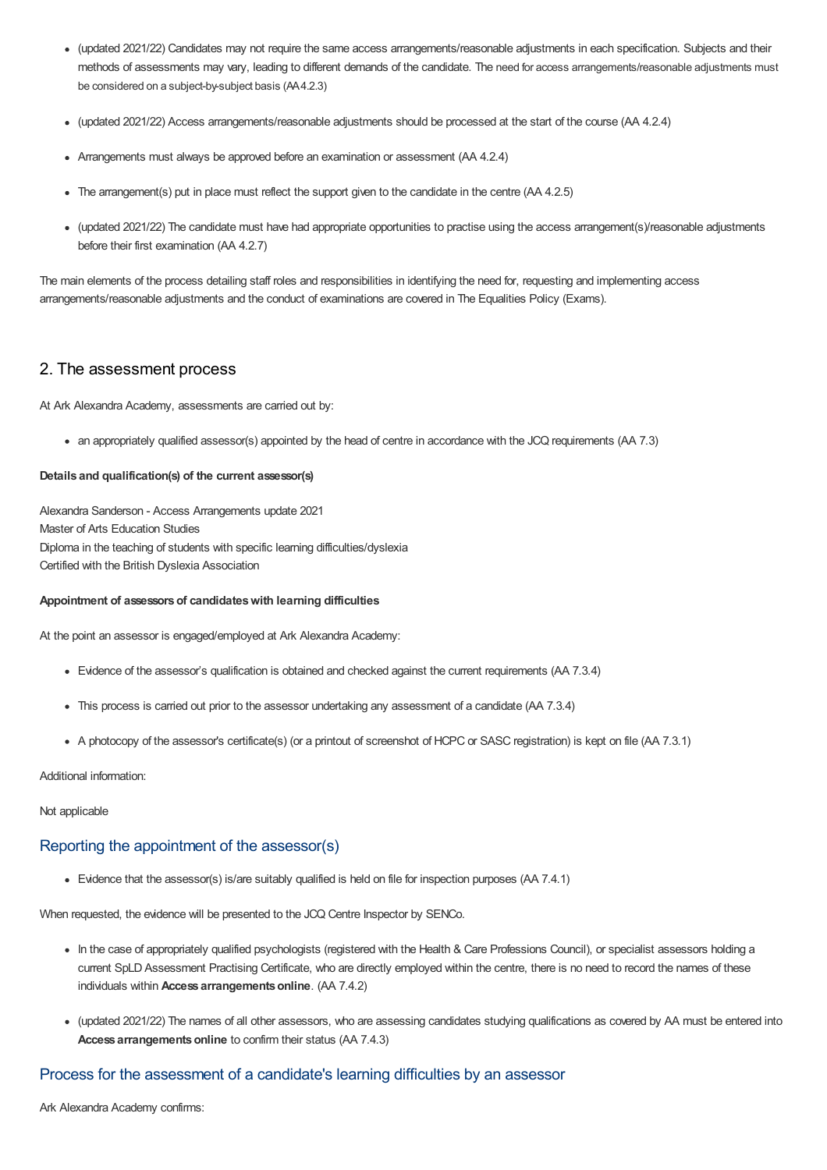- (updated 2021/22) Candidates may not require the same access arrangements/reasonable adjustments in each specification. Subjects and their methods of assessments may vary, leading to different demands of the candidate. The need for access arrangements/reasonable adjustments must be considered on a subject-by-subject basis (AA4.2.3)
- (updated 2021/22) Access arrangements/reasonable adjustments should be processed at the start of the course (AA 4.2.4)
- Arrangements must always be approved before an examination or assessment (AA 4.2.4)
- The arrangement(s) put in place must reflect the support given to the candidate in the centre (AA 4.2.5)
- (updated 2021/22) The candidate must have had appropriate opportunities to practise using the access arrangement(s)/reasonable adjustments before their first examination (AA 4.2.7)

The main elements of the process detailing staff roles and responsibilities in identifying the need for, requesting and implementing access arrangements/reasonable adjustments and the conduct of examinations are covered in The Equalities Policy (Exams).

## 2. The assessment process

At Ark Alexandra Academy, assessments are carried out by:

an appropriately qualified assessor(s) appointed by the head of centre in accordance with the JCQ requirements (AA 7.3)

#### **Details and qualification(s) of the current assessor(s)**

Alexandra Sanderson - Access Arrangements update 2021 Master of Arts Education Studies Diploma in the teaching of students with specific learning difficulties/dyslexia Certified with the British Dyslexia Association

#### **Appointment of assessorsof candidateswith learning difficulties**

At the point an assessor is engaged/employed at Ark Alexandra Academy:

- Evidence of the assessor's qualification is obtained and checked against the current requirements (AA 7.3.4)
- This process is carried out prior to the assessor undertaking any assessment of a candidate (AA 7.3.4)
- A photocopy of the assessor's certificate(s) (or a printout of screenshot of HCPC or SASC registration) is kept on file (AA 7.3.1)

Additional information:

Not applicable

## Reporting the appointment of the assessor(s)

Evidence that the assessor(s) is/are suitably qualified is held on file for inspection purposes (AA 7.4.1)

When requested, the evidence will be presented to the JCQ Centre Inspector by SENCo.

- In the case of appropriately qualified psychologists (registered with the Health & Care Professions Council), or specialist assessors holding a current SpLD Assessment Practising Certificate, who are directly employed within the centre, there is no need to record the names of these individuals within **Access arrangementsonline**. (AA 7.4.2)
- (updated 2021/22) The names of all other assessors, who are assessing candidates studying qualifications as covered by AA must be entered into Access arrangements online to confirm their status (AA 7.4.3)

## Process for the assessment of a candidate's learning difficulties by an assessor

Ark Alexandra Academy confirms: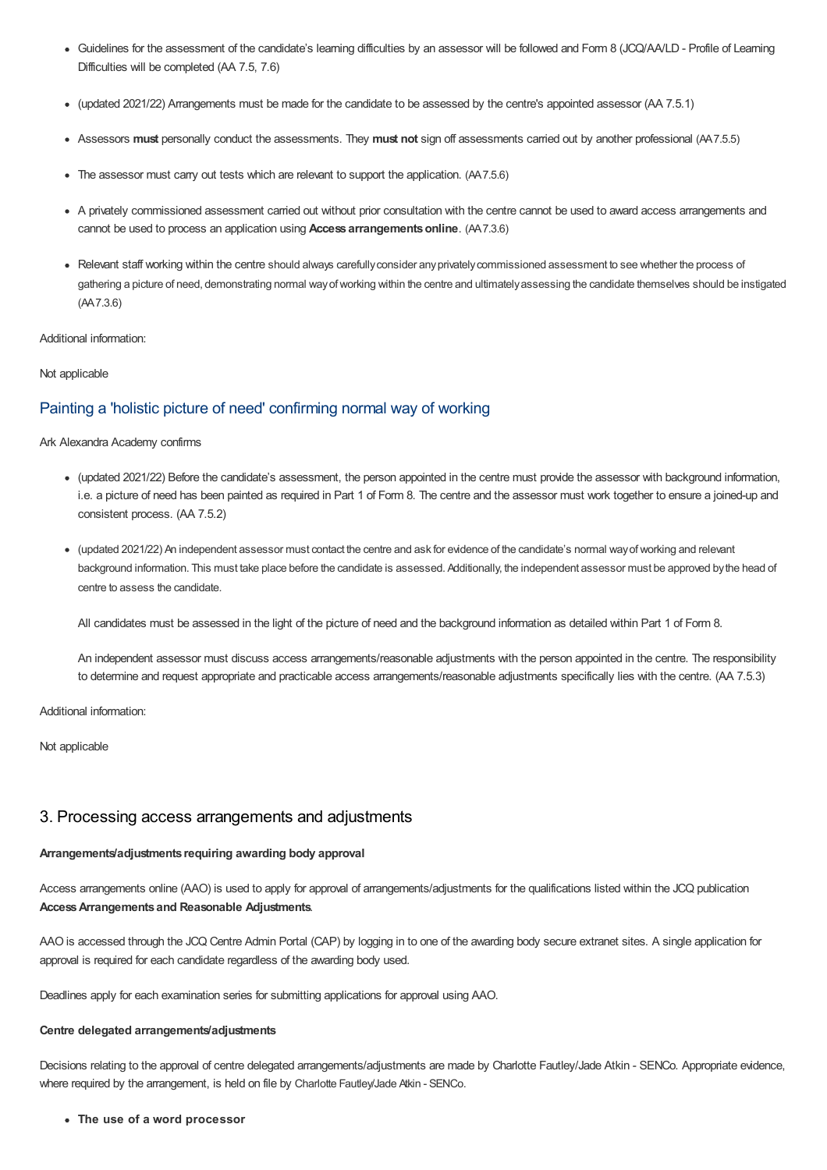- Guidelines for the assessment of the candidate's learning difficulties by an assessor will be followed and Form 8 (JCQ/AA/LD Profile of Learning Difficulties will be completed (AA 7.5, 7.6)
- (updated 2021/22) Arrangements must be made for the candidate to be assessed by the centre's appointed assessor (AA 7.5.1)
- Assessors **must** personally conduct the assessments. They **must not** sign off assessments carried out by another professional (AA7.5.5)
- The assessor must carry out tests which are relevant to support the application. (AA7.5.6)
- A privately commissioned assessment carried out without prior consultation with the centre cannot be used to award access arrangements and cannot be used to process an application using **Access arrangementsonline**. (AA7.3.6)
- Relevant staff working within the centre should always carefullyconsider anyprivatelycommissioned assessment to see whether the process of gathering a picture of need, demonstrating normal wayofworking within the centre and ultimatelyassessing the candidate themselves should be instigated (AA7.3.6)

#### Additional information:

#### Not applicable

## Painting a 'holistic picture of need' confirming normal way of working

Ark Alexandra Academy confirms

- (updated 2021/22) Before the candidate's assessment, the person appointed in the centre must provide the assessor with background information, i.e. a picture of need has been painted as required in Part 1 of Form 8. The centre and the assessor must work together to ensure a joined-up and consistent process. (AA 7.5.2)
- (updated 2021/22) An independent assessor must contact the centre and ask for evidence of the candidate's normal wayofworking and relevant background information. This must take place before the candidate is assessed. Additionally, the independent assessor must be approved bythe head of centre to assess the candidate.

All candidates must be assessed in the light of the picture of need and the background information as detailed within Part 1 of Form 8.

An independent assessor must discuss access arrangements/reasonable adjustments with the person appointed in the centre. The responsibility to determine and request appropriate and practicable access arrangements/reasonable adjustments specifically lies with the centre. (AA 7.5.3)

Additional information:

Not applicable

### 3. Processing access arrangements and adjustments

#### **Arrangements/adjustments requiring awarding body approval**

Access arrangements online (AAO) is used to apply for approval of arrangements/adjustments for the qualifications listed within the JCQ publication **AccessArrangements and Reasonable Adjustments**.

AAO is accessed through the JCQ Centre Admin Portal (CAP) by logging in to one of the awarding body secure extranet sites. A single application for approval is required for each candidate regardless of the awarding body used.

Deadlines apply for each examination series for submitting applications for approval using AAO.

#### **Centre delegated arrangements/adjustments**

Decisions relating to the approval of centre delegated arrangements/adjustments are made by Charlotte Fautley/Jade Atkin - SENCo. Appropriate evidence, where required by the arrangement, is held on file by Charlotte Fautley/Jade Atkin - SENCo.

**The use of a word processor**